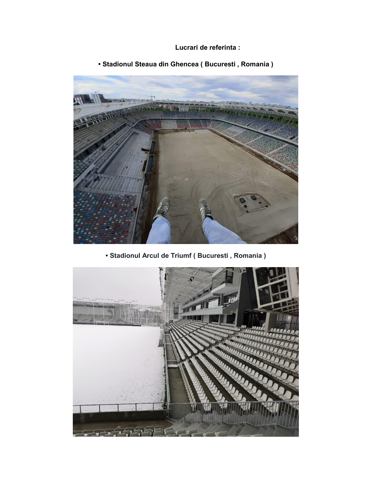## **Lucrari de referinta :**



**• Stadionul Steaua din Ghencea ( Bucuresti , Romania )**

**• Stadionul Arcul de Triumf ( Bucuresti , Romania )**

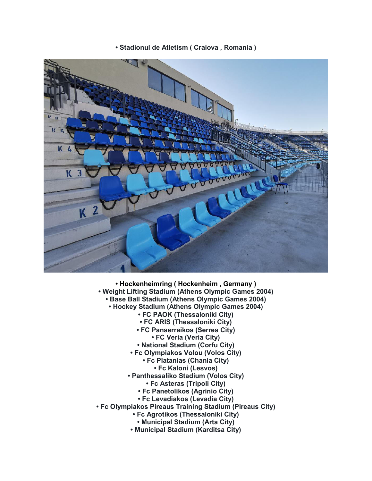**• Stadionul de Atletism ( Craiova , Romania )**



- **Hockenheimring ( Hockenheim , Germany )**
- **Weight Lifting Stadium (Athens Olympic Games 2004)** 
	- **Base Ball Stadium (Athens Olympic Games 2004)**
		- **Hockey Stadium (Athens Olympic Games 2004)**
			- **FC PAOK (Thessaloniki City)**
			- **FC ARIS (Thessaloniki City)**
			- **FC Panserraikos (Serres City)**
				- **FC Veria (Veria City)**
			- **National Stadium (Corfu City)**
			- **Fc Olympiakos Volou (Volos City)**
				- **Fc Platanias (Chania City) • Fc Kaloni (Lesvos)**
				-
			- **Panthessaliko Stadium (Volos City)**
				- **Fc Asteras (Tripoli City)**
				- **Fc Panetolikos (Agrinio City)**
				- **Fc Levadiakos (Levadia City)**
- **Fc Olympiakos Pireaus Training Stadium (Pireaus City)** 
	- **Fc Agrotikos (Thessaloniki City)**
		- **Municipal Stadium (Arta City)**
	- **Municipal Stadium (Karditsa City)**